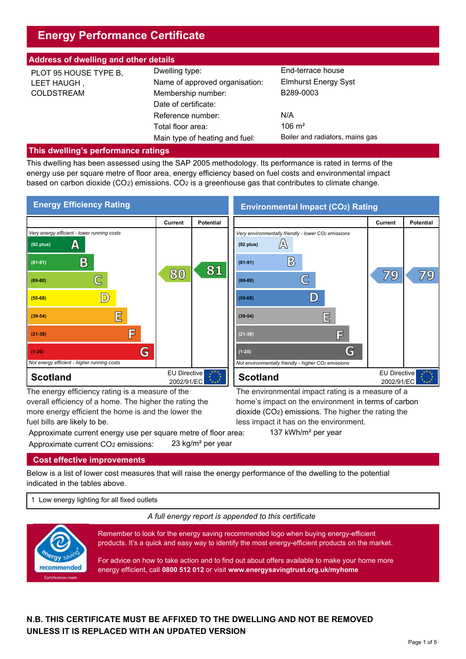# **Energy Performance Certificate**

| <b>Address of dwelling and other details</b>              |                                                                        |                                                               |  |  |  |
|-----------------------------------------------------------|------------------------------------------------------------------------|---------------------------------------------------------------|--|--|--|
| PLOT 95 HOUSE TYPE B,<br>LEET HAUGH,<br><b>COLDSTREAM</b> | Dwelling type:<br>Name of approved organisation:<br>Membership number: | End-terrace house<br><b>Elmhurst Energy Syst</b><br>B289-0003 |  |  |  |
|                                                           | Date of certificate:                                                   |                                                               |  |  |  |
|                                                           | Reference number:                                                      | N/A                                                           |  |  |  |
|                                                           | Total floor area:                                                      | $106 \text{ m}^2$                                             |  |  |  |
|                                                           | Main type of heating and fuel:                                         | Boiler and radiators, mains gas                               |  |  |  |

#### **This dwelling's performance ratings**

This dwelling has been assessed using the SAP 2005 methodology. Its performance is rated in terms of the energy use per square metre of floor area, energy efficiency based on fuel costs and environmental impact based on carbon dioxide (CO2) emissions. CO2 is a greenhouse gas that contributes to climate change.



more energy efficient the home is and the lower the fuel bills are likely to be.

Approximate current energy use per square metre of floor area: 137 kWh/m<sup>2</sup> per year Approximate current CO2 emissions: 23 kg/m² per year

less impact it has on the environment.

dioxide (CO2) emissions. The higher the rating the

#### **Cost effective improvements**

Below is a list of lower cost measures that will raise the energy performance of the dwelling to the potential indicated in the tables above.

1 Low energy lighting for all fixed outlets

*A full energy report is appended to this certificate*



Remember to look for the energy saving recommended logo when buying energy-efficient products. It's a quick and easy way to identify the most energy-efficient products on the market.

For advice on how to take action and to find out about offers available to make your home more energy efficient, call **0800 512 012** or visit **www.energysavingtrust.org.uk/myhome**

## **N.B. THIS CERTIFICATE MUST BE AFFIXED TO THE DWELLING AND NOT BE REMOVED UNLESS IT IS REPLACED WITH AN UPDATED VERSION**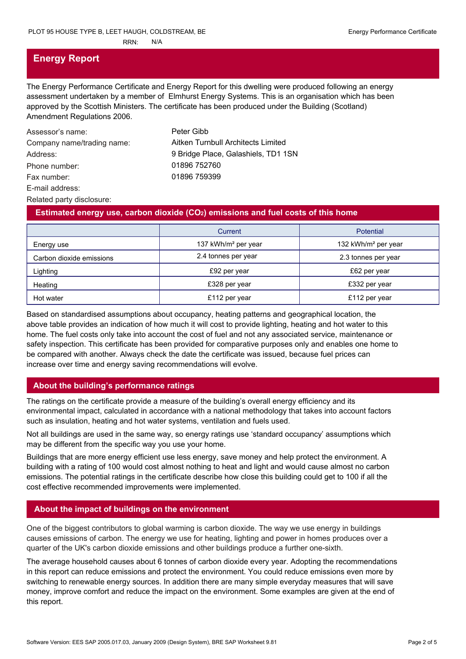# **Energy Report**

The Energy Performance Certificate and Energy Report for this dwelling were produced following an energy assessment undertaken by a member of Elmhurst Energy Systems. This is an organisation which has been approved by the Scottish Ministers. The certificate has been produced under the Building (Scotland) Amendment Regulations 2006.

| Assessor's name:           | Peter Gibb                          |
|----------------------------|-------------------------------------|
| Company name/trading name: | Aitken Turnbull Architects Limited  |
| Address:                   | 9 Bridge Place, Galashiels, TD1 1SN |
| Phone number:              | 01896 752760                        |
| Fax number:                | 01896 759399                        |
| E-mail address:            |                                     |
| Related party disclosure:  |                                     |

#### **Estimated energy use, carbon dioxide (CO2) emissions and fuel costs of this home**

|                          | Current                         | <b>Potential</b>                |
|--------------------------|---------------------------------|---------------------------------|
| Energy use               | 137 kWh/m <sup>2</sup> per year | 132 kWh/m <sup>2</sup> per year |
| Carbon dioxide emissions | 2.4 tonnes per year             | 2.3 tonnes per year             |
| Lighting                 | £92 per year                    | £62 per year                    |
| Heating                  | £328 per year                   | £332 per year                   |
| Hot water                | £112 per year                   | £112 per year                   |

Based on standardised assumptions about occupancy, heating patterns and geographical location, the above table provides an indication of how much it will cost to provide lighting, heating and hot water to this home. The fuel costs only take into account the cost of fuel and not any associated service, maintenance or safety inspection. This certificate has been provided for comparative purposes only and enables one home to be compared with another. Always check the date the certificate was issued, because fuel prices can increase over time and energy saving recommendations will evolve.

#### **About the building's performance ratings**

The ratings on the certificate provide a measure of the building's overall energy efficiency and its environmental impact, calculated in accordance with a national methodology that takes into account factors such as insulation, heating and hot water systems, ventilation and fuels used.

Not all buildings are used in the same way, so energy ratings use 'standard occupancy' assumptions which may be different from the specific way you use your home.

Buildings that are more energy efficient use less energy, save money and help protect the environment. A building with a rating of 100 would cost almost nothing to heat and light and would cause almost no carbon emissions. The potential ratings in the certificate describe how close this building could get to 100 if all the cost effective recommended improvements were implemented.

### **About the impact of buildings on the environment**

One of the biggest contributors to global warming is carbon dioxide. The way we use energy in buildings causes emissions of carbon. The energy we use for heating, lighting and power in homes produces over a quarter of the UK's carbon dioxide emissions and other buildings produce a further one-sixth.

The average household causes about 6 tonnes of carbon dioxide every year. Adopting the recommendations in this report can reduce emissions and protect the environment. You could reduce emissions even more by switching to renewable energy sources. In addition there are many simple everyday measures that will save money, improve comfort and reduce the impact on the environment. Some examples are given at the end of this report.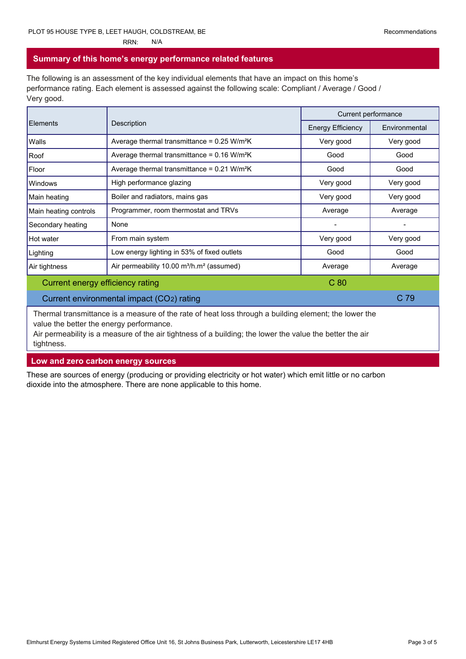#### **Summary of this home's energy performance related features**

The following is an assessment of the key individual elements that have an impact on this home's performance rating. Each element is assessed against the following scale: Compliant / Average / Good / Very good.

| Elements                         | Description                                                       | Current performance      |               |
|----------------------------------|-------------------------------------------------------------------|--------------------------|---------------|
|                                  |                                                                   | <b>Energy Efficiency</b> | Environmental |
| Walls                            | Average thermal transmittance = $0.25$ W/m <sup>2</sup> K         | Very good                | Very good     |
| Roof                             | Average thermal transmittance = $0.16$ W/m <sup>2</sup> K         | Good                     | Good          |
| Floor                            | Average thermal transmittance = $0.21$ W/m <sup>2</sup> K         | Good                     | Good          |
| Windows                          | High performance glazing                                          | Very good                | Very good     |
| Main heating                     | Boiler and radiators, mains gas                                   | Very good                | Very good     |
| Main heating controls            | Programmer, room thermostat and TRVs                              | Average                  | Average       |
| Secondary heating                | None                                                              |                          |               |
| Hot water                        | From main system                                                  | Very good                | Very good     |
| Lighting                         | Low energy lighting in 53% of fixed outlets                       | Good                     | Good          |
| Air tightness                    | Air permeability 10.00 m <sup>3</sup> /h.m <sup>2</sup> (assumed) | Average                  | Average       |
| Current energy efficiency rating |                                                                   | C <sub>80</sub>          |               |

#### Current environmental impact (CO2) rating C 79

Thermal transmittance is a measure of the rate of heat loss through a building element; the lower the value the better the energy performance.

Air permeability is a measure of the air tightness of a building; the lower the value the better the air tightness.

**Low and zero carbon energy sources**

These are sources of energy (producing or providing electricity or hot water) which emit little or no carbon dioxide into the atmosphere. There are none applicable to this home.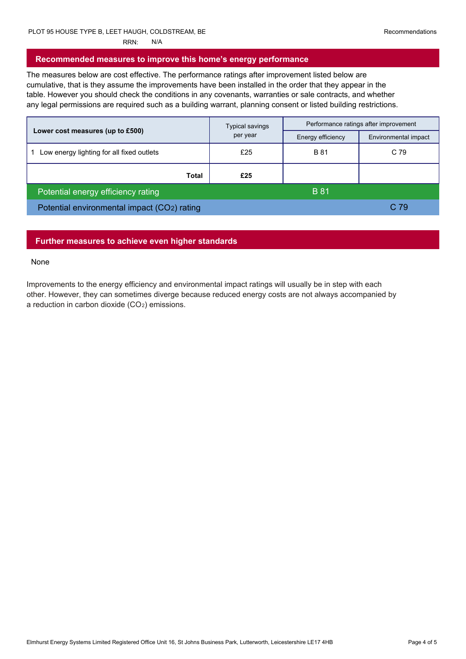#### **Recommended measures to improve this home's energy performance**

The measures below are cost effective. The performance ratings after improvement listed below are cumulative, that is they assume the improvements have been installed in the order that they appear in the table. However you should check the conditions in any covenants, warranties or sale contracts, and whether any legal permissions are required such as a building warrant, planning consent or listed building restrictions.

|                                             | Typical savings<br>per year | Performance ratings after improvement |                      |
|---------------------------------------------|-----------------------------|---------------------------------------|----------------------|
| Lower cost measures (up to £500)            |                             | Energy efficiency                     | Environmental impact |
| Low energy lighting for all fixed outlets   | £25                         | <b>B</b> 81                           | C 79                 |
| Total                                       | £25                         |                                       |                      |
| Potential energy efficiency rating          |                             | <b>B</b> 81                           |                      |
| Potential environmental impact (CO2) rating |                             |                                       | C 79                 |

#### **Further measures to achieve even higher standards**

#### None

Improvements to the energy efficiency and environmental impact ratings will usually be in step with each other. However, they can sometimes diverge because reduced energy costs are not always accompanied by a reduction in carbon dioxide (CO2) emissions.